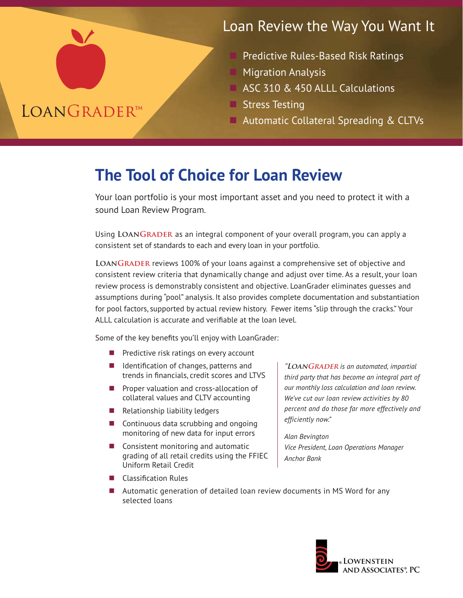# Loan Review the Way You Want It

- Predictive Rules-Based Risk Ratings
- **Migration Analysis**
- n ASC 310 & 450 ALLL Calculations
- **Stress Testing**
- Automatic Collateral Spreading & CLTVs

# **The Tool of Choice for Loan Review**

Your loan portfolio is your most important asset and you need to protect it with a sound Loan Review Program.

Using **LoanGrader** as an integral component of your overall program, you can apply a consistent set of standards to each and every loan in your portfolio.

LOANGRADER reviews 100% of your loans against a comprehensive set of objective and consistent review criteria that dynamically change and adjust over time. As a result, your loan review process is demonstrably consistent and objective. LoanGrader eliminates guesses and assumptions during "pool" analysis. It also provides complete documentation and substantiation for pool factors, supported by actual review history. Fewer items "slip through the cracks." Your ALLL calculation is accurate and verifiable at the loan level.

Some of the key benefits you'll enjoy with LoanGrader:

- $\blacksquare$  Predictive risk ratings on every account
- $\blacksquare$  Identification of changes, patterns and trends in financials, credit scores and LTVS
- $\blacksquare$  Proper valuation and cross-allocation of collateral values and CLTV accounting
- Relationship liability ledgers
- $\blacksquare$  Continuous data scrubbing and ongoing monitoring of new data for input errors
- $\blacksquare$  Consistent monitoring and automatic grading of all retail credits using the FFIEC Uniform Retail Credit

**"LoanGrader** *is an automated, impartial third party that has become an integral part of our monthly loss calculation and loan review. We've cut our loan review activities by 80 percent and do those far more effectively and efficiently now."*

*Alan Bevington Vice President, Loan Operations Manager Anchor Bank*

■ Classification Rules

**LOANGRADERTM** 

 $\blacksquare$  Automatic generation of detailed loan review documents in MS Word for any selected loans